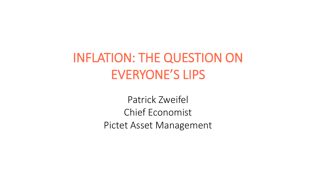# INFLATION: THE QUESTION ON EVERYONE'S LIPS

Patrick Zweifel Chief Economist Pictet Asset Management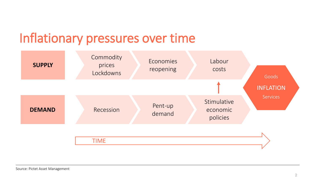## Inflationary pressures over time

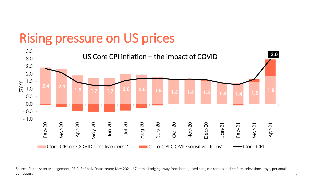## Rising pressure on US prices



Source: Pictet Asset Management, CEIC, Refinitiv Datastream; May 2021. \*7 items: Lodging away from home, used cars, car rentals, airline fare, televisions, toys, personal computers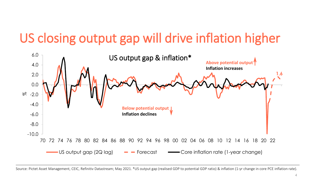# US closing output gap will drive inflation higher



Source: Pictet Asset Management, CEIC, Refinitiv Datastream; May 2021. \*US output gap (realised GDP to potential GDP ratio) & inflation (1-yr change in core PCE inflation rate).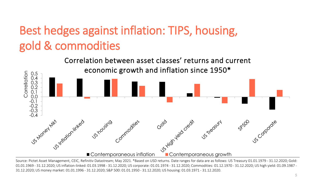#### Best hedges against inflation: TIPS, housing, gold & commodities



Source: Pictet Asset Management, CEIC, Refinitiv Datastream; May 2021. \*Based on USD returns. Date ranges for data are as follows: US Treasury 01.01.1979 - 31.12.2020; Gold: 01.01.1969 - 31.12.2020; US inflation-linked: 01.03.1998 - 31.12.2020; US corporate: 01.01.1974 - 31.12.2020; Commodities: 01.12.1970 - 31.12.2020; US high yield: 01.09.1987 - 31.12.2020; US money market: 01.01.1996 - 31.12.2020; S&P 500: 01.01.1950 - 31.12.2020; US housing: 01.03.1971 - 31.12.2020.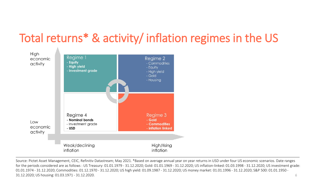#### Total returns\* & activity/ inflation regimes in the US



6 Source: Pictet Asset Management, CEIC, Refinitiv Datastream; May 2021. \*Based on average annual year on year returns in USD under four US economic scenarios. Date ranges for the periods considered are as follows : US Treasury: 01.01.1979 - 31.12.2020; Gold: 01.01.1969 - 31.12.2020; US inflation-linked: 01.03.1998 - 31.12.2020; US investment grade: 01.01.1974 - 31.12.2020; Commodities: 01.12.1970 - 31.12.2020; US high yield: 01.09.1987 - 31.12.2020; US money market: 01.01.1996 - 31.12.2020; S&P 500: 01.01.1950 - 31.12.2020; US housing: 01.03.1971 - 31.12.2020.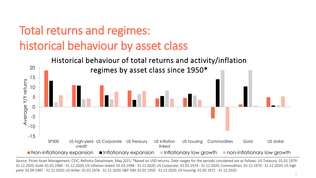#### Total returns and regimes: historical behaviour by asset class



Source: Pictet Asset Management, CEIC, Refinitiv Datastream; May 2021. \*Based on USD returns. Date ranges for the periods considered are as follows: US Treasury: 01.01.1979 -31.12.2020; Gold: 01.01.1969 - 31.12.2020; US inflation-linked: 01.03.1998 - 31.12.2020; US Corporate: 01.01.1974 - 31.12.2020; Commodities: 01.12.1970 - 31.12.2020; US high yield: 01.09.1987 - 31.12.2020; US dollar: 01.01.1976 - 31.12.2020; S&P 500: 01.01.1950 - 31.12.2020; US housing: 01.03.1971 - 31.12.2020.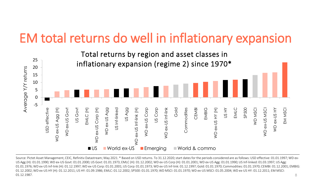## EM total returns do well in inflationary expansion



8 Source: Pictet Asset Management, CEIC, Refinitiv Datastream; May 2021. \* Based on USD returns. To 31.12.2020; start dates for the periods considered are as follows: USD effective: 01.01.1997; WD ex-US Agg (H): 01.01.1990; WD ex-US Govt: 01.01.2000; US Govt: 01.01.1973; EMLC (H): 01.12.2002; WD ex-US Corp (H): 01.01.2001; WD ex-US Agg: 01.01.1990; US Inf-linked: 01.03.1997; US Agg: 01.01.1976; WD ex-US Inf-link (H): 01.12.1997; WD ex-US Corp: 01.01.2001; US Corp: 01.01.1973; WD ex-US Inf-link: 01.12.1997; Gold: 01.01.1970; Commodities: 01.01.1970; CEMBI: 01.12.2001; EMBIG: 01.12.2002; WD ex-US HY (H): 01.12.2011; US HY: 01.09.1986; EMLC: 01.12.2002; SP500: 01.01.1970; WD MSCI: 01.01.1970; WD ex-US MSCI: 01.05.2004; WD ex-US HY: 01.12.2011; EM MSCI: 01.12.1987.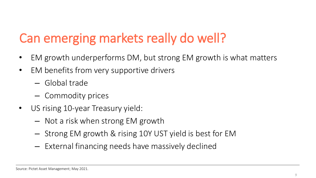# Can emerging markets really do well?

- EM growth underperforms DM, but strong EM growth is what matters
- EM benefits from very supportive drivers
	- Global trade
	- Commodity prices
- US rising 10-year Treasury yield:
	- Not a risk when strong EM growth
	- Strong EM growth & rising 10Y UST yield is best for EM
	- External financing needs have massively declined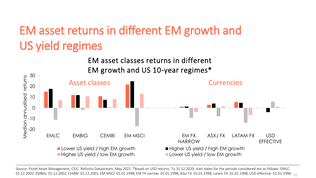## EM asset returns in different EM growth and US yield regimes



01.12.2002; EMBIG: 01.12.2002; CEMBI: 01.12.2001; EM MSCI: 01.01.1998; EM FX narrow: 01.01.1998; ASxJ FX: 01.01.1998; Latam FX: 01.01.1998; USD effective: 01.01.1998. <sub>10</sub> Source: Pictet Asset Management, CEIC, Refinitiv Datastream; May 2021. \*Based on USD returns. To 31.12.2020; start dates for the periods considered are as follows: EMLC: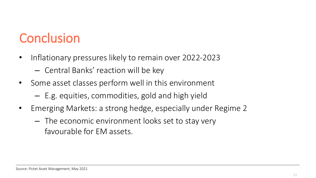# **Conclusion**

- Inflationary pressures likely to remain over 2022-2023 – Central Banks' reaction will be key
- Some asset classes perform well in this environment
	- E.g. equities, commodities, gold and high yield
- Emerging Markets: a strong hedge, especially under Regime 2
	- The economic environment looks set to stay very favourable for EM assets.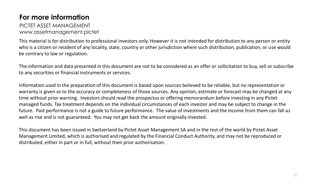#### **For more information**

#### PICTET ASSET MANAGEMENT www.assetmanagement.pictet

This material is for distribution to professional investors only. However it is not intended for distribution to any person or entity who is a citizen or resident of any locality, state, country or other jurisdiction where such distribution, publication, or use would be contrary to law or regulation.

The information and data presented in this document are not to be considered as an offer or sollicitation to buy, sell or subscribe to any securities or financial instruments or services.

Information used in the preparation of this document is based upon sources believed to be reliable, but no representation or warranty is given as to the accuracy or completeness of those sources. Any opinion, estimate or forecast may be changed at any time without prior warning. Investors should read the prospectus or offering memorandum before investing in any Pictet managed funds. Tax treatment depends on the individual circumstances of each investor and may be subject to change in the future. Past performance is not a guide to future performance. The value of investments and the income from them can fall as well as rise and is not guaranteed. You may not get back the amount originally invested.

This document has been issued in Switzerland by Pictet Asset Management SA and in the rest of the world by Pictet Asset Management Limited, which is authorised and regulated by the Financial Conduct Authority, and may not be reproduced or distributed, either in part or in full, without their prior authorisation.